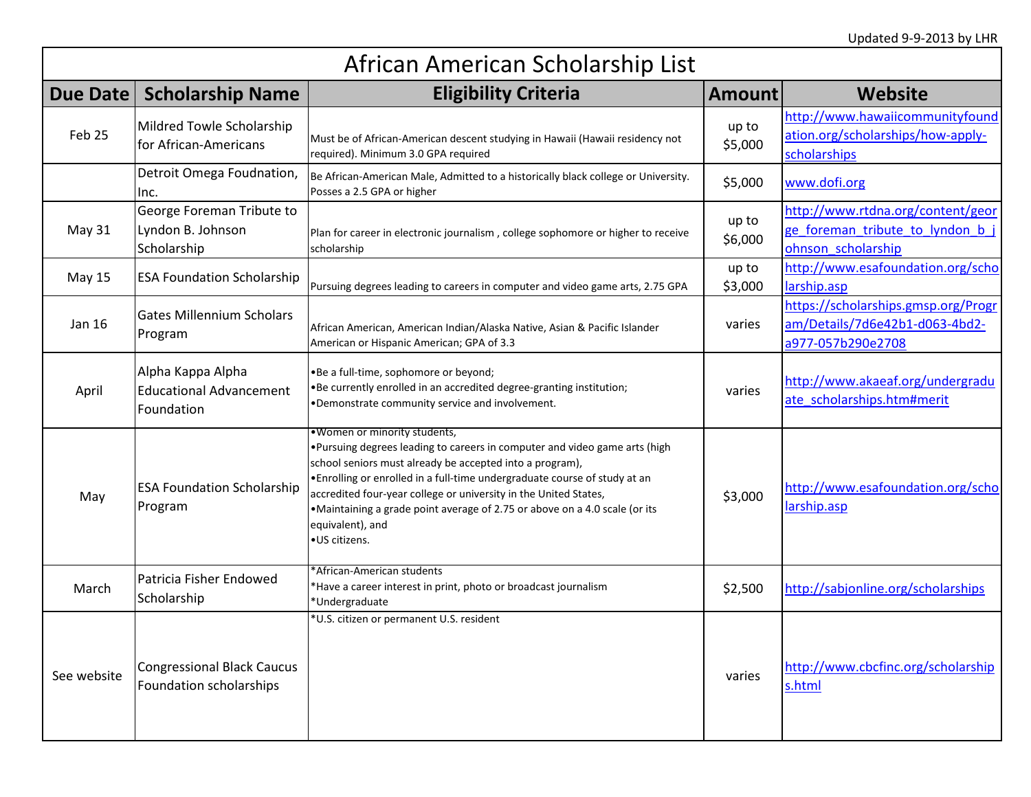| African American Scholarship List |                                                                   |                                                                                                                                                                                                                                                                                                                                                                                                                                              |                  |                                                                                             |
|-----------------------------------|-------------------------------------------------------------------|----------------------------------------------------------------------------------------------------------------------------------------------------------------------------------------------------------------------------------------------------------------------------------------------------------------------------------------------------------------------------------------------------------------------------------------------|------------------|---------------------------------------------------------------------------------------------|
| Due Date                          | <b>Scholarship Name</b>                                           | <b>Eligibility Criteria</b>                                                                                                                                                                                                                                                                                                                                                                                                                  | <b>Amount</b>    | <b>Website</b>                                                                              |
| Feb <sub>25</sub>                 | Mildred Towle Scholarship<br>for African-Americans                | Must be of African-American descent studying in Hawaii (Hawaii residency not<br>required). Minimum 3.0 GPA required                                                                                                                                                                                                                                                                                                                          | up to<br>\$5,000 | http://www.hawaiicommunityfound<br>ation.org/scholarships/how-apply-<br>scholarships        |
|                                   | Detroit Omega Foudnation,<br>Inc.                                 | Be African-American Male, Admitted to a historically black college or University.<br>Posses a 2.5 GPA or higher                                                                                                                                                                                                                                                                                                                              | \$5,000          | www.dofi.org                                                                                |
| May 31                            | George Foreman Tribute to<br>Lyndon B. Johnson<br>Scholarship     | Plan for career in electronic journalism, college sophomore or higher to receive<br>scholarship                                                                                                                                                                                                                                                                                                                                              | up to<br>\$6,000 | http://www.rtdna.org/content/geor<br>ge foreman tribute to lyndon b j<br>ohnson_scholarship |
| <b>May 15</b>                     | <b>ESA Foundation Scholarship</b>                                 | Pursuing degrees leading to careers in computer and video game arts, 2.75 GPA                                                                                                                                                                                                                                                                                                                                                                | up to<br>\$3,000 | http://www.esafoundation.org/scho<br>larship.asp                                            |
| Jan 16                            | <b>Gates Millennium Scholars</b><br>Program                       | African American, American Indian/Alaska Native, Asian & Pacific Islander<br>American or Hispanic American; GPA of 3.3                                                                                                                                                                                                                                                                                                                       | varies           | https://scholarships.gmsp.org/Progr<br>am/Details/7d6e42b1-d063-4bd2-<br>a977-057b290e2708  |
| April                             | Alpha Kappa Alpha<br><b>Educational Advancement</b><br>Foundation | .Be a full-time, sophomore or beyond;<br>. Be currently enrolled in an accredited degree-granting institution;<br>.Demonstrate community service and involvement.                                                                                                                                                                                                                                                                            | varies           | http://www.akaeaf.org/undergradu<br>ate scholarships.htm#merit                              |
| May                               | <b>ESA Foundation Scholarship</b><br>Program                      | .Women or minority students,<br>. Pursuing degrees leading to careers in computer and video game arts (high<br>school seniors must already be accepted into a program),<br>. Enrolling or enrolled in a full-time undergraduate course of study at an<br>accredited four-year college or university in the United States,<br>•Maintaining a grade point average of 2.75 or above on a 4.0 scale (or its<br>equivalent), and<br>∙US citizens. | \$3,000          | http://www.esafoundation.org/scho<br>larship.asp                                            |
| March                             | Patricia Fisher Endowed<br>Scholarship                            | *African-American students<br>*Have a career interest in print, photo or broadcast journalism<br>*Undergraduate                                                                                                                                                                                                                                                                                                                              | \$2,500          | http://sabjonline.org/scholarships                                                          |
| See website                       | <b>Congressional Black Caucus</b><br>Foundation scholarships      | *U.S. citizen or permanent U.S. resident                                                                                                                                                                                                                                                                                                                                                                                                     | varies           | http://www.cbcfinc.org/scholarship<br>s.html                                                |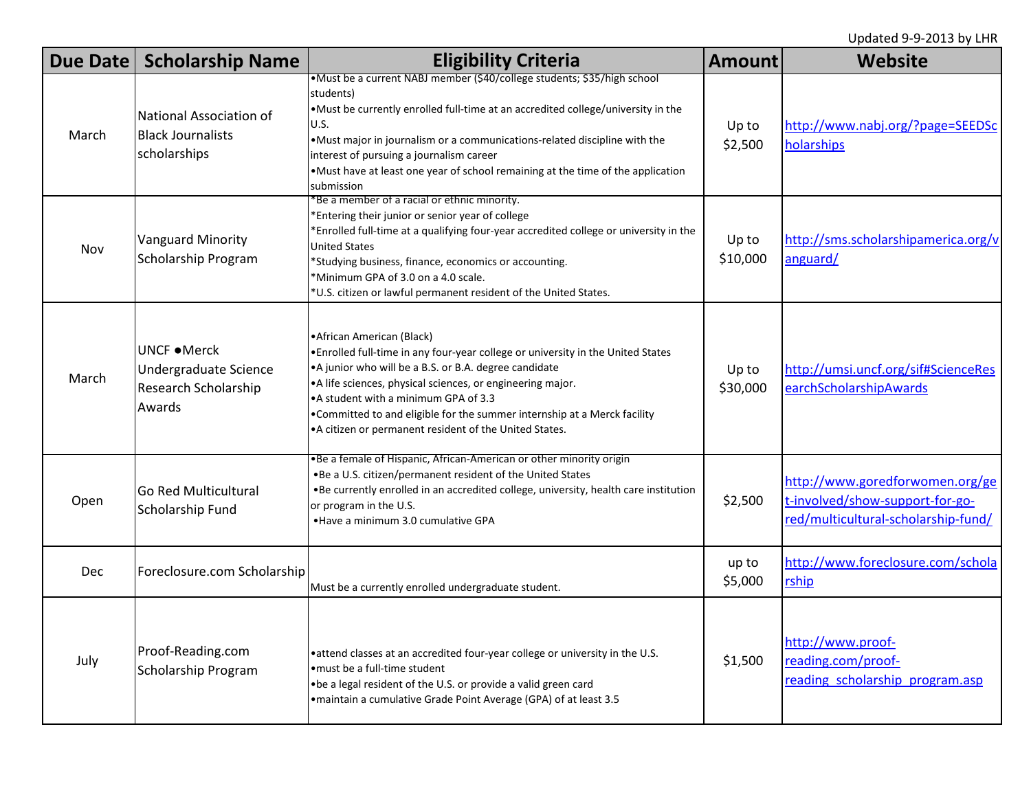| Due Date   | <b>Scholarship Name</b>                                                        | <b>Eligibility Criteria</b>                                                                                                                                                                                                                                                                                                                                                                                             | <b>Amount</b>     | Website                                                                                                   |
|------------|--------------------------------------------------------------------------------|-------------------------------------------------------------------------------------------------------------------------------------------------------------------------------------------------------------------------------------------------------------------------------------------------------------------------------------------------------------------------------------------------------------------------|-------------------|-----------------------------------------------------------------------------------------------------------|
| March      | National Association of<br><b>Black Journalists</b><br>scholarships            | •Must be a current NABJ member (\$40/college students; \$35/high school<br>students)<br>. Must be currently enrolled full-time at an accredited college/university in the<br>U.S.<br>. Must major in journalism or a communications-related discipline with the<br>interest of pursuing a journalism career<br>. Must have at least one year of school remaining at the time of the application<br>submission           | Up to<br>\$2,500  | http://www.nabj.org/?page=SEEDSc<br>holarships                                                            |
| Nov        | Vanguard Minority<br>Scholarship Program                                       | *Be a member of a racial or ethnic minority.<br>*Entering their junior or senior year of college<br>*Enrolled full-time at a qualifying four-year accredited college or university in the<br><b>United States</b><br>*Studying business, finance, economics or accounting.<br>*Minimum GPA of 3.0 on a 4.0 scale.<br>*U.S. citizen or lawful permanent resident of the United States.                                   | Up to<br>\$10,000 | http://sms.scholarshipamerica.org/v<br>anguard/                                                           |
| March      | UNCF • Merck<br>Undergraduate Science<br><b>Research Scholarship</b><br>Awards | • African American (Black)<br>. Enrolled full-time in any four-year college or university in the United States<br>• A junior who will be a B.S. or B.A. degree candidate<br>•A life sciences, physical sciences, or engineering major.<br>• A student with a minimum GPA of 3.3<br>. Committed to and eligible for the summer internship at a Merck facility<br>• A citizen or permanent resident of the United States. | Up to<br>\$30,000 | http://umsi.uncf.org/sif#ScienceRes<br>earchScholarshipAwards                                             |
| Open       | <b>Go Red Multicultural</b><br>Scholarship Fund                                | .Be a female of Hispanic, African-American or other minority origin<br>.Be a U.S. citizen/permanent resident of the United States<br>. Be currently enrolled in an accredited college, university, health care institution<br>or program in the U.S.<br>• Have a minimum 3.0 cumulative GPA                                                                                                                             | \$2,500           | http://www.goredforwomen.org/ge<br>t-involved/show-support-for-go-<br>red/multicultural-scholarship-fund/ |
| <b>Dec</b> | Foreclosure.com Scholarship                                                    | Must be a currently enrolled undergraduate student.                                                                                                                                                                                                                                                                                                                                                                     | up to<br>\$5,000  | http://www.foreclosure.com/schola<br>rship                                                                |
| July       | Proof-Reading.com<br>Scholarship Program                                       | • attend classes at an accredited four-year college or university in the U.S.<br>• must be a full-time student<br>.be a legal resident of the U.S. or provide a valid green card<br>• maintain a cumulative Grade Point Average (GPA) of at least 3.5                                                                                                                                                                   | \$1,500           | http://www.proof-<br>reading.com/proof-<br>reading scholarship program.asp                                |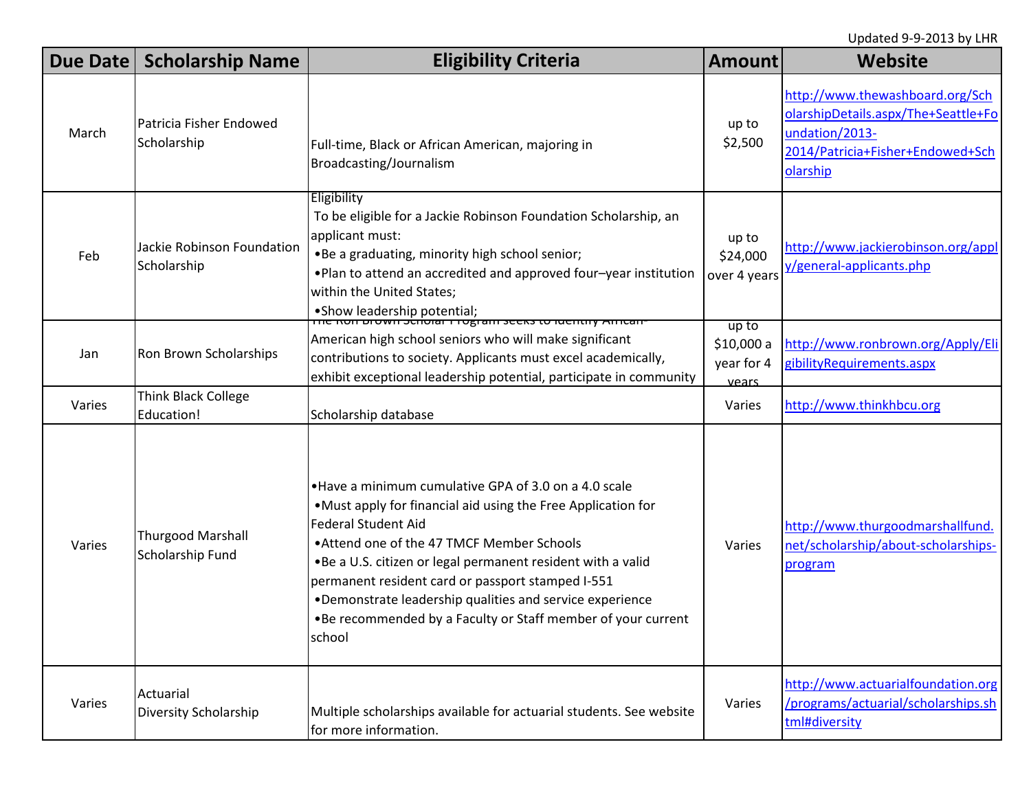| Due Date | <b>Scholarship Name</b>                      | <b>Eligibility Criteria</b>                                                                                                                                                                                                                                                                                                                                                                                                                                  | <b>Amount</b>                              | <b>Website</b>                                                                                                                           |
|----------|----------------------------------------------|--------------------------------------------------------------------------------------------------------------------------------------------------------------------------------------------------------------------------------------------------------------------------------------------------------------------------------------------------------------------------------------------------------------------------------------------------------------|--------------------------------------------|------------------------------------------------------------------------------------------------------------------------------------------|
| March    | Patricia Fisher Endowed<br>Scholarship       | Full-time, Black or African American, majoring in<br>Broadcasting/Journalism                                                                                                                                                                                                                                                                                                                                                                                 | up to<br>\$2,500                           | http://www.thewashboard.org/Sch<br>olarshipDetails.aspx/The+Seattle+Fo<br>undation/2013-<br>2014/Patricia+Fisher+Endowed+Sch<br>olarship |
| Feb      | Jackie Robinson Foundation<br>Scholarship    | Eligibility<br>To be eligible for a Jackie Robinson Foundation Scholarship, an<br>applicant must:<br>.Be a graduating, minority high school senior;<br>. Plan to attend an accredited and approved four-year institution<br>within the United States;                                                                                                                                                                                                        | up to<br>\$24,000<br>over 4 years          | http://www.jackierobinson.org/appl<br>y/general-applicants.php                                                                           |
| Jan      | Ron Brown Scholarships                       | American high school seniors who will make significant<br>contributions to society. Applicants must excel academically,<br>exhibit exceptional leadership potential, participate in community                                                                                                                                                                                                                                                                | up to<br>\$10,000 a<br>year for 4<br>vears | http://www.ronbrown.org/Apply/Eli<br>gibilityRequirements.aspx                                                                           |
| Varies   | Think Black College<br>Education!            | Scholarship database                                                                                                                                                                                                                                                                                                                                                                                                                                         | Varies                                     | http://www.thinkhbcu.org                                                                                                                 |
| Varies   | <b>Thurgood Marshall</b><br>Scholarship Fund | . Have a minimum cumulative GPA of 3.0 on a 4.0 scale<br>•Must apply for financial aid using the Free Application for<br><b>Federal Student Aid</b><br>. Attend one of the 47 TMCF Member Schools<br>.Be a U.S. citizen or legal permanent resident with a valid<br>permanent resident card or passport stamped I-551<br>•Demonstrate leadership qualities and service experience<br>. Be recommended by a Faculty or Staff member of your current<br>school | Varies                                     | http://www.thurgoodmarshallfund.<br>net/scholarship/about-scholarships-<br>program                                                       |
| Varies   | Actuarial<br>Diversity Scholarship           | Multiple scholarships available for actuarial students. See website<br>for more information.                                                                                                                                                                                                                                                                                                                                                                 | Varies                                     | http://www.actuarialfoundation.org<br>/programs/actuarial/scholarships.sh<br>tml#diversity                                               |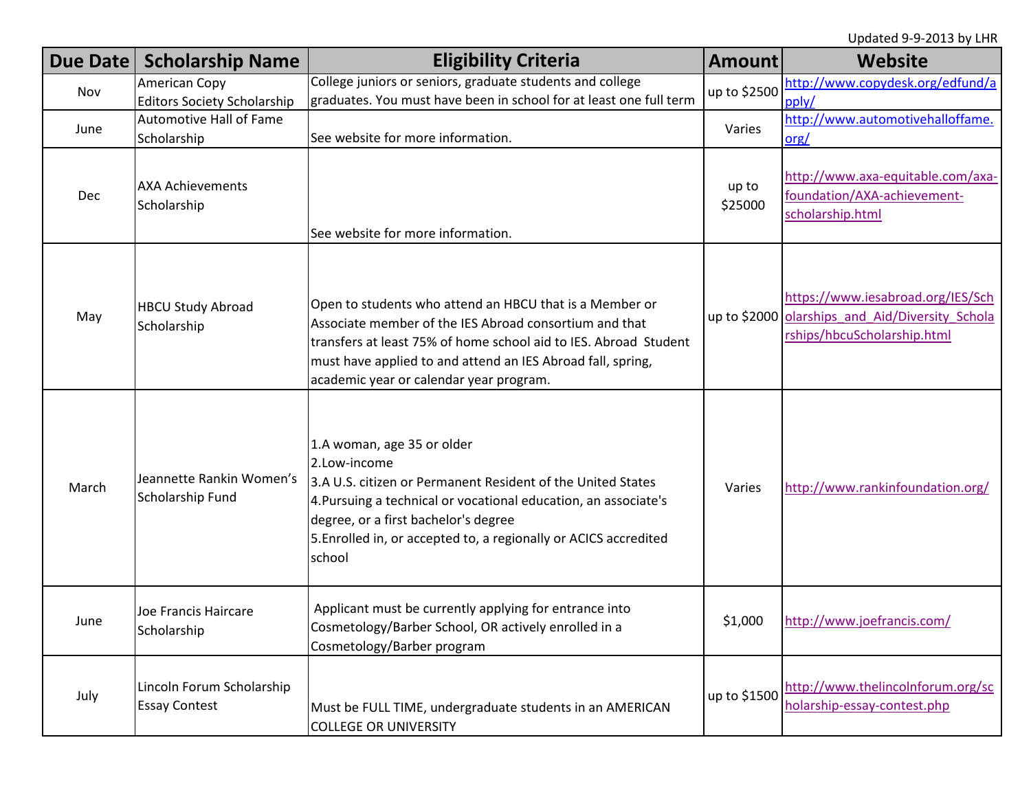|       | Due Date   Scholarship Name                         | <b>Eligibility Criteria</b>                                                                                                                                                                                                                                                                        | <b>Amount</b>    | Website                                                                                                             |
|-------|-----------------------------------------------------|----------------------------------------------------------------------------------------------------------------------------------------------------------------------------------------------------------------------------------------------------------------------------------------------------|------------------|---------------------------------------------------------------------------------------------------------------------|
| Nov   | American Copy<br><b>Editors Society Scholarship</b> | College juniors or seniors, graduate students and college<br>graduates. You must have been in school for at least one full term                                                                                                                                                                    | up to \$2500     | http://www.copydesk.org/edfund/a<br>pply/                                                                           |
| June  | <b>Automotive Hall of Fame</b><br>Scholarship       | See website for more information.                                                                                                                                                                                                                                                                  | Varies           | http://www.automotivehalloffame.<br>$org$                                                                           |
| Dec   | <b>AXA Achievements</b><br>Scholarship              | See website for more information.                                                                                                                                                                                                                                                                  | up to<br>\$25000 | http://www.axa-equitable.com/axa-<br>foundation/AXA-achievement-<br>scholarship.html                                |
| May   | <b>HBCU Study Abroad</b><br>Scholarship             | Open to students who attend an HBCU that is a Member or<br>Associate member of the IES Abroad consortium and that<br>transfers at least 75% of home school aid to IES. Abroad Student<br>must have applied to and attend an IES Abroad fall, spring,<br>academic year or calendar year program.    |                  | https://www.iesabroad.org/IES/Sch<br>up to \$2000 olarships and Aid/Diversity Schola<br>rships/hbcuScholarship.html |
| March | Jeannette Rankin Women's<br>Scholarship Fund        | 1.A woman, age 35 or older<br>2.Low-income<br>3.A U.S. citizen or Permanent Resident of the United States<br>4. Pursuing a technical or vocational education, an associate's<br>degree, or a first bachelor's degree<br>5. Enrolled in, or accepted to, a regionally or ACICS accredited<br>school | Varies           | http://www.rankinfoundation.org/                                                                                    |
| June  | Joe Francis Haircare<br>Scholarship                 | Applicant must be currently applying for entrance into<br>Cosmetology/Barber School, OR actively enrolled in a<br>Cosmetology/Barber program                                                                                                                                                       | \$1,000          | http://www.joefrancis.com/                                                                                          |
| July  | Lincoln Forum Scholarship<br><b>Essay Contest</b>   | Must be FULL TIME, undergraduate students in an AMERICAN<br><b>COLLEGE OR UNIVERSITY</b>                                                                                                                                                                                                           | up to \$1500     | http://www.thelincolnforum.org/sc<br>holarship-essay-contest.php                                                    |